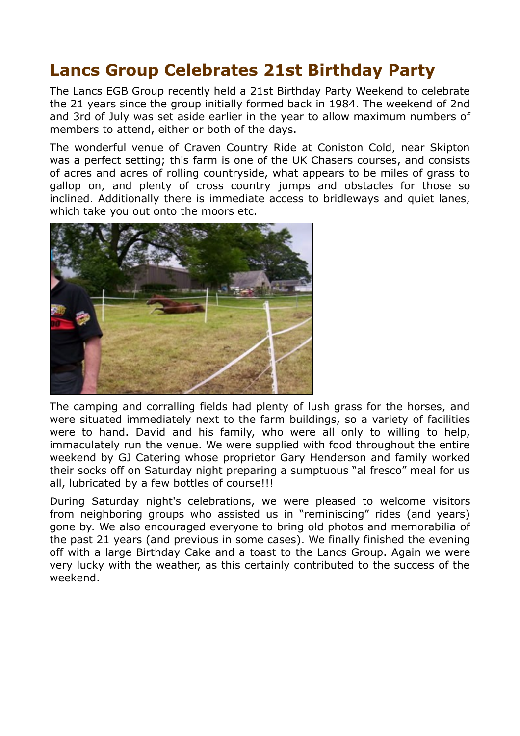## **Lancs Group Celebrates 21st Birthday Party**

The Lancs EGB Group recently held a 21st Birthday Party Weekend to celebrate the 21 years since the group initially formed back in 1984. The weekend of 2nd and 3rd of July was set aside earlier in the year to allow maximum numbers of members to attend, either or both of the days.

The wonderful venue of Craven Country Ride at Coniston Cold, near Skipton was a perfect setting; this farm is one of the UK Chasers courses, and consists of acres and acres of rolling countryside, what appears to be miles of grass to gallop on, and plenty of cross country jumps and obstacles for those so inclined. Additionally there is immediate access to bridleways and quiet lanes, which take you out onto the moors etc.



The camping and corralling fields had plenty of lush grass for the horses, and were situated immediately next to the farm buildings, so a variety of facilities were to hand. David and his family, who were all only to willing to help, immaculately run the venue. We were supplied with food throughout the entire weekend by GJ Catering whose proprietor Gary Henderson and family worked their socks off on Saturday night preparing a sumptuous "al fresco" meal for us all, lubricated by a few bottles of course!!!

During Saturday night's celebrations, we were pleased to welcome visitors from neighboring groups who assisted us in "reminiscing" rides (and years) gone by. We also encouraged everyone to bring old photos and memorabilia of the past 21 years (and previous in some cases). We finally finished the evening off with a large Birthday Cake and a toast to the Lancs Group. Again we were very lucky with the weather, as this certainly contributed to the success of the weekend.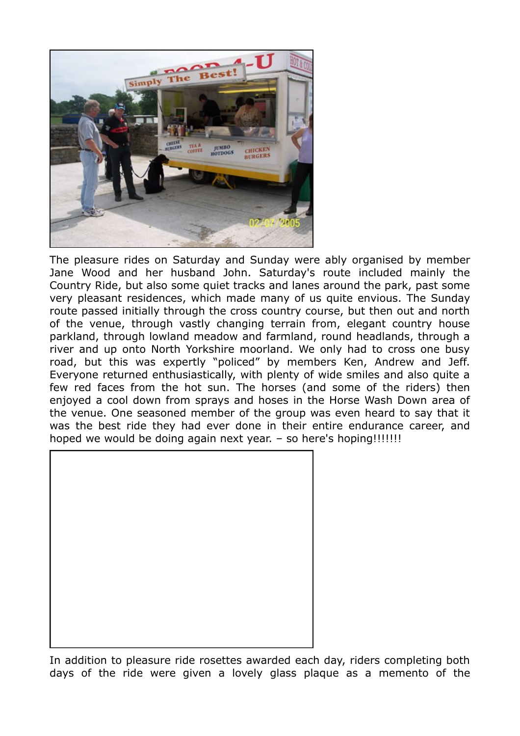

The pleasure rides on Saturday and Sunday were ably organised by member Jane Wood and her husband John. Saturday's route included mainly the Country Ride, but also some quiet tracks and lanes around the park, past some very pleasant residences, which made many of us quite envious. The Sunday route passed initially through the cross country course, but then out and north of the venue, through vastly changing terrain from, elegant country house parkland, through lowland meadow and farmland, round headlands, through a river and up onto North Yorkshire moorland. We only had to cross one busy road, but this was expertly "policed" by members Ken, Andrew and Jeff. Everyone returned enthusiastically, with plenty of wide smiles and also quite a few red faces from the hot sun. The horses (and some of the riders) then enjoyed a cool down from sprays and hoses in the Horse Wash Down area of the venue. One seasoned member of the group was even heard to say that it was the best ride they had ever done in their entire endurance career, and hoped we would be doing again next year. - so here's hoping!!!!!!!!



In addition to pleasure ride rosettes awarded each day, riders completing both days of the ride were given a lovely glass plaque as a memento of the